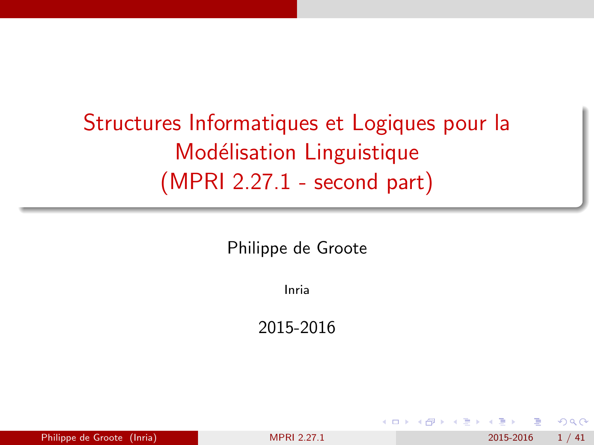# <span id="page-0-0"></span>Structures Informatiques et Logiques pour la Modélisation Linguistique (MPRI 2.27.1 - second part)

Philippe de Groote

Inria

2015-2016

| Philippe de Groote (Inria)<br>2015-2016<br><b>MPRI 2.27.1</b> | 1/41 |
|---------------------------------------------------------------|------|
|---------------------------------------------------------------|------|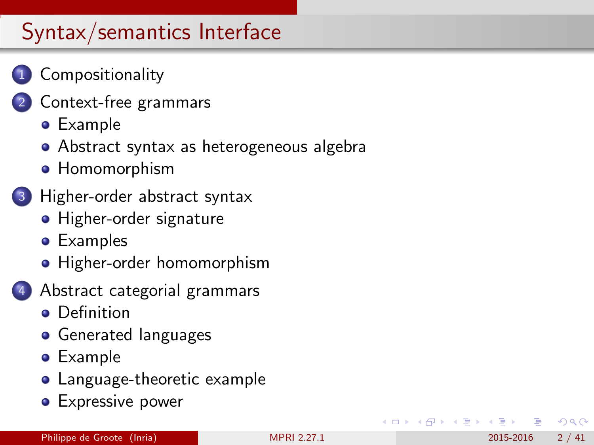### **[Compositionality](#page-2-0)**

- [Context-free grammars](#page-5-0)
	- **•** [Example](#page-6-0)
	- [Abstract syntax as heterogeneous algebra](#page-8-0)
	- **[Homomorphism](#page-10-0)**

### 3 [Higher-order abstract syntax](#page-13-0)

- **[Higher-order signature](#page-14-0)**
- [Examples](#page-16-0)
- [Higher-order homomorphism](#page-21-0)
- 4 [Abstract categorial grammars](#page-23-0)
	- **•** [Definition](#page-24-0)
	- **•** [Generated languages](#page-27-0)
	- **•** [Example](#page-29-0)
	- [Language-theoretic example](#page-33-0)
	- **[Expressive power](#page-37-0)**

 $200$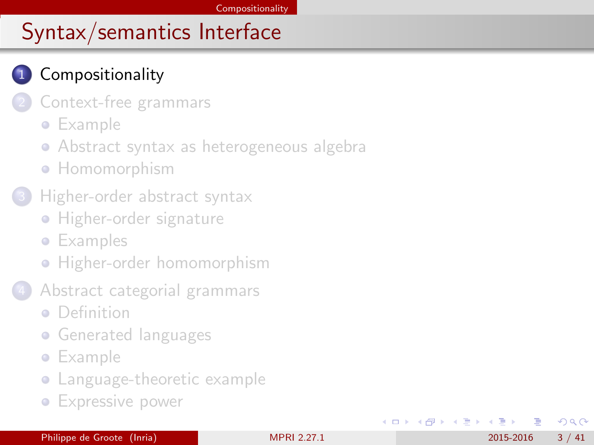### <span id="page-2-0"></span>**[Compositionality](#page-2-0)**

- [Context-free grammars](#page-5-0)
	- **•** [Example](#page-6-0)
	- [Abstract syntax as heterogeneous algebra](#page-8-0)
	- **[Homomorphism](#page-10-0)**
- [Higher-order abstract syntax](#page-13-0)
	- **[Higher-order signature](#page-14-0)**
	- **•** [Examples](#page-16-0)
	- **•** [Higher-order homomorphism](#page-21-0)
- 4 [Abstract categorial grammars](#page-23-0)
	- [Definition](#page-24-0)
	- **[Generated languages](#page-27-0)**
	- **•** [Example](#page-29-0)
	- [Language-theoretic example](#page-33-0)
	- **[Expressive power](#page-37-0)**

 $\Omega$ 

- 4 重 8 - 4 重 8

4 0 8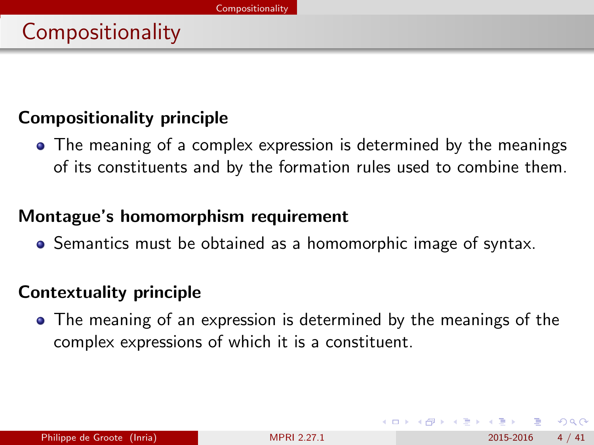#### <span id="page-3-0"></span>Compositionality principle

The meaning of a complex expression is determined by the meanings of its constituents and by the formation rules used to combine them.

#### Montague's homomorphism requirement

**•** Semantics must be obtained as a homomorphic image of syntax.

### Contextuality principle

The meaning of an expression is determined by the meanings of the complex expressions of which it is a constituent.

 $200$ 

医单位 医单位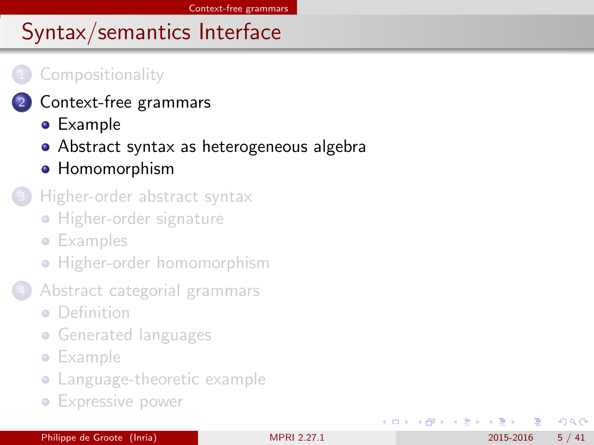#### <span id="page-4-0"></span>**[Compositionality](#page-2-0)**

- 2 [Context-free grammars](#page-5-0)
	- **•** [Example](#page-6-0)
	- [Abstract syntax as heterogeneous algebra](#page-8-0)
	- **[Homomorphism](#page-10-0)**
- [Higher-order abstract syntax](#page-13-0)
	- **[Higher-order signature](#page-14-0)**
	- **•** [Examples](#page-16-0)
	- **•** [Higher-order homomorphism](#page-21-0)
- 4 [Abstract categorial grammars](#page-23-0)
	- [Definition](#page-24-0)
	- **[Generated languages](#page-27-0)**
	- **•** [Example](#page-29-0)
	- [Language-theoretic example](#page-33-0)
	- **[Expressive power](#page-37-0)**

 $\Omega$ 

K 등 > K 등 >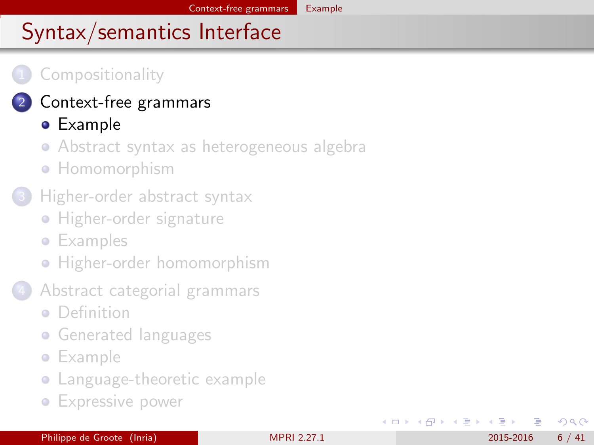#### <span id="page-5-0"></span>**[Compositionality](#page-2-0)**

#### 2 [Context-free grammars](#page-5-0)

### **•** [Example](#page-6-0)

- [Abstract syntax as heterogeneous algebra](#page-8-0)
- **[Homomorphism](#page-10-0)**

#### [Higher-order abstract syntax](#page-13-0)

- **[Higher-order signature](#page-14-0)**
- **•** [Examples](#page-16-0)
- **•** [Higher-order homomorphism](#page-21-0)
- 4 [Abstract categorial grammars](#page-23-0)
	- [Definition](#page-24-0)
	- **[Generated languages](#page-27-0)**
	- **•** [Example](#page-29-0)
	- [Language-theoretic example](#page-33-0)
	- **[Expressive power](#page-37-0)**

 $\Omega$ 

医单位 医单位

4 0 8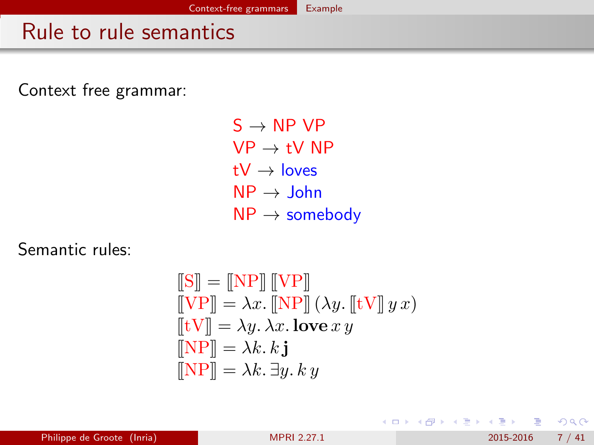## <span id="page-6-0"></span>Rule to rule semantics

Context free grammar:

 $S \rightarrow NP VP$  $VP \rightarrow tV NP$  $tV \rightarrow$  loves  $NP \rightarrow John$  $NP \rightarrow$  somebody

Semantic rules:

$$
\begin{aligned}\n\llbracket \mathbf{S} \rrbracket &= \llbracket \mathbf{NP} \rrbracket \llbracket \mathbf{VP} \rrbracket \\
\llbracket \mathbf{VP} \rrbracket &= \lambda x. \llbracket \mathbf{NP} \rrbracket \, (\lambda y. \llbracket \mathbf{tV} \rrbracket \, y \, x) \\
\llbracket \mathbf{tV} \rrbracket &= \lambda y. \, \lambda x. \, \textbf{love} \, x \, y \\
\llbracket \mathbf{NP} \rrbracket &= \lambda k. \, \mathbf{k} \, \mathbf{j} \\
\llbracket \mathbf{NP} \rrbracket &= \lambda k. \, \exists y. \, k \, y\n\end{aligned}
$$

K ロ ⊁ K 個 ≯ K 君 ⊁ K 君 ≯

 $QQ$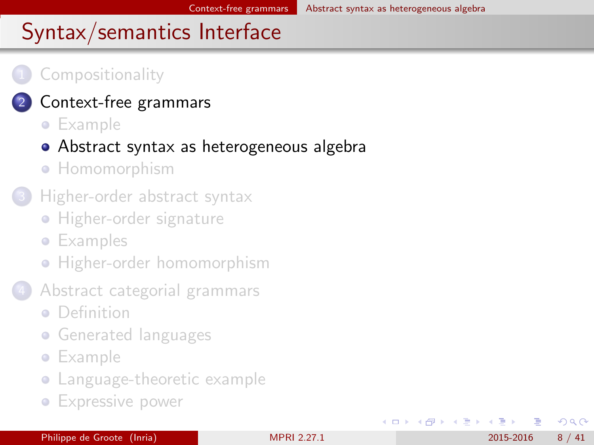#### <span id="page-7-0"></span>**[Compositionality](#page-2-0)**

- [Context-free grammars](#page-5-0)
	- **•** [Example](#page-6-0)
	- [Abstract syntax as heterogeneous algebra](#page-8-0)
	- [Homomorphism](#page-10-0)
- [Higher-order abstract syntax](#page-13-0)
	- **[Higher-order signature](#page-14-0)**
	- **•** [Examples](#page-16-0)
	- **•** [Higher-order homomorphism](#page-21-0)
- 4 [Abstract categorial grammars](#page-23-0)
	- [Definition](#page-24-0)
	- **[Generated languages](#page-27-0)**
	- **•** [Example](#page-29-0)
	- [Language-theoretic example](#page-33-0)
	- **[Expressive power](#page-37-0)**

 $\Omega$ 

④重き ④重き

4 0 8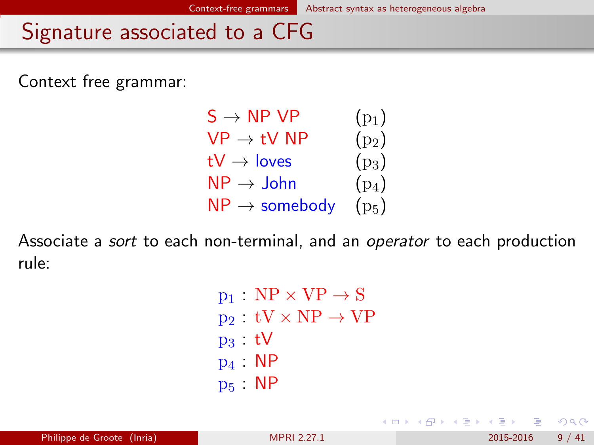### <span id="page-8-0"></span>Signature associated to a CFG

Context free grammar:



Associate a sort to each non-terminal, and an operator to each production rule:

> $p_1$  : NP  $\times$  VP  $\rightarrow$  S  $p_2 : tV \times NP \rightarrow VP$  $p_3$  tV p<sup>4</sup> : NP p<sup>5</sup> : NP

 $QQ$ 

化重新润滑脂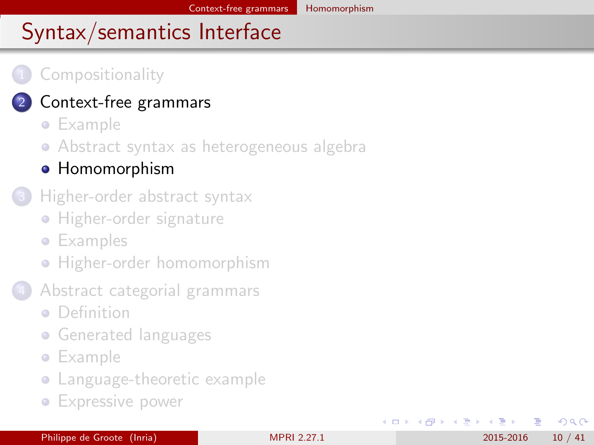#### <span id="page-9-0"></span>**[Compositionality](#page-2-0)**

### [Context-free grammars](#page-5-0)

- **•** [Example](#page-6-0)
- [Abstract syntax as heterogeneous algebra](#page-8-0)

#### **• [Homomorphism](#page-10-0)**

- [Higher-order abstract syntax](#page-13-0)
	- **[Higher-order signature](#page-14-0)**
	- **•** [Examples](#page-16-0)
	- **•** [Higher-order homomorphism](#page-21-0)
- 4 [Abstract categorial grammars](#page-23-0)
	- [Definition](#page-24-0)
	- **[Generated languages](#page-27-0)**
	- **•** [Example](#page-29-0)
	- [Language-theoretic example](#page-33-0)
	- **[Expressive power](#page-37-0)**

 $\Omega$ 

化重氮 化重氮

4 0 8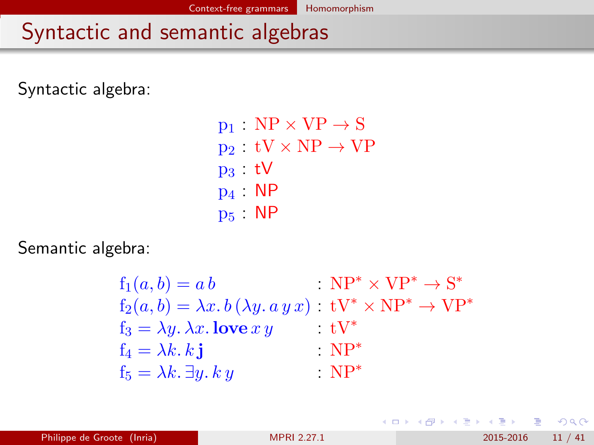## <span id="page-10-0"></span>Syntactic and semantic algebras

Syntactic algebra:

 $p_1 : NP \times VP \rightarrow S$  $p_2 : tV \times NP \rightarrow VP$ p<sup>3</sup> : tV p<sup>4</sup> : NP p<sup>5</sup> : NP

Semantic algebra:

$$
f_1(a, b) = a b
$$
  
\n
$$
f_2(a, b) = \lambda x. b (\lambda y. a y x) : \mathbf{tV}^* \times \mathbf{NP}^* \to \mathbf{S}^*
$$
  
\n
$$
f_3 = \lambda y. \lambda x. \mathbf{love} xy
$$
  
\n
$$
f_4 = \lambda k. k \mathbf{j}
$$
  
\n
$$
f_5 = \lambda k. \exists y. k y
$$
  
\n
$$
\mathbf{NP}^*
$$
  
\n
$$
\mathbf{NP}^*
$$

 $QQ$ 

化重复 化重变

4 D F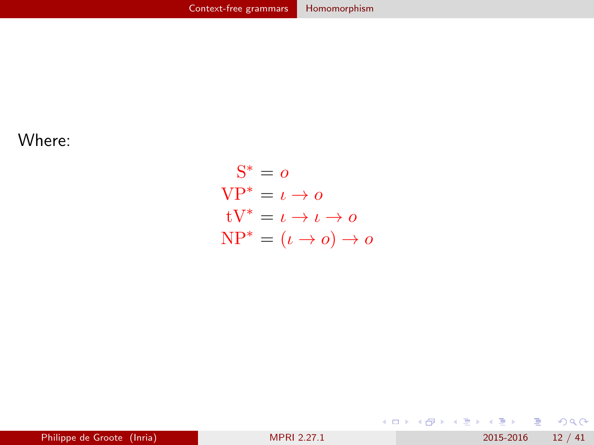<span id="page-11-0"></span>Where:

$$
S^* = o
$$
  
VP\* =  $\iota \to o$   
 tV\* =  $\iota \to \iota \to o$   
 NP\* =  $(\iota \to o) \to o$ 

K ロ ▶ K @ ▶ K 할 ▶ K 할 ▶ 이 할 → 900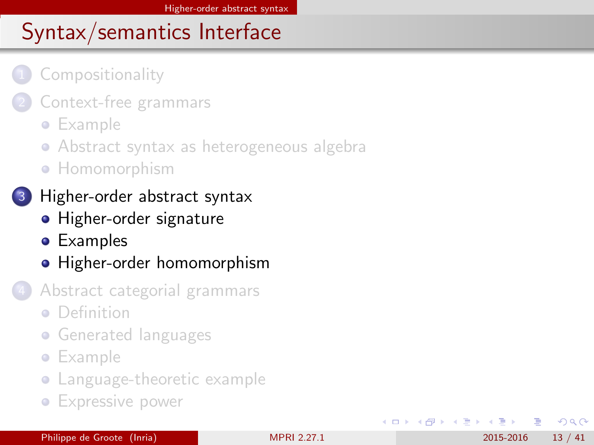#### <span id="page-12-0"></span>**[Compositionality](#page-2-0)**

- [Context-free grammars](#page-5-0)
	- **•** [Example](#page-6-0)
	- [Abstract syntax as heterogeneous algebra](#page-8-0)
	- **[Homomorphism](#page-10-0)**
	- [Higher-order abstract syntax](#page-13-0)
		- **[Higher-order signature](#page-14-0)**
		- [Examples](#page-16-0)
		- [Higher-order homomorphism](#page-21-0)
	- 4 [Abstract categorial grammars](#page-23-0)
		- **•** [Definition](#page-24-0)
		- **[Generated languages](#page-27-0)**
		- **•** [Example](#page-29-0)
		- [Language-theoretic example](#page-33-0)
		- **[Expressive power](#page-37-0)**

4 E X 4 E X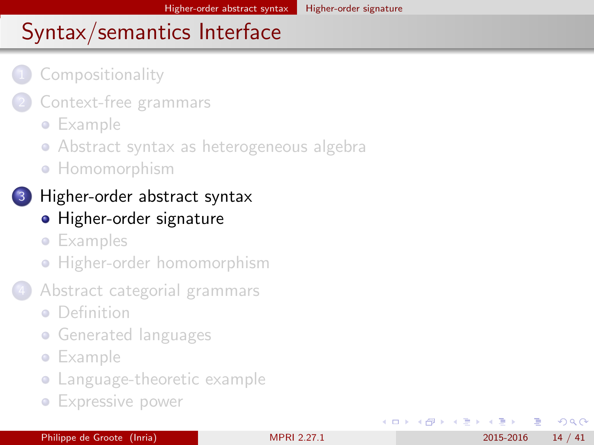### <span id="page-13-0"></span>**[Compositionality](#page-2-0)**

- [Context-free grammars](#page-5-0)
	- **•** [Example](#page-6-0)
	- [Abstract syntax as heterogeneous algebra](#page-8-0)
	- **[Homomorphism](#page-10-0)**

### 3 [Higher-order abstract syntax](#page-13-0)

- **•** [Higher-order signature](#page-14-0)
- **•** [Examples](#page-16-0)
- **•** [Higher-order homomorphism](#page-21-0)
- 4 [Abstract categorial grammars](#page-23-0)
	- **•** [Definition](#page-24-0)
	- **[Generated languages](#page-27-0)**
	- **•** [Example](#page-29-0)
	- [Language-theoretic example](#page-33-0)
	- **[Expressive power](#page-37-0)**

4 E K 4 E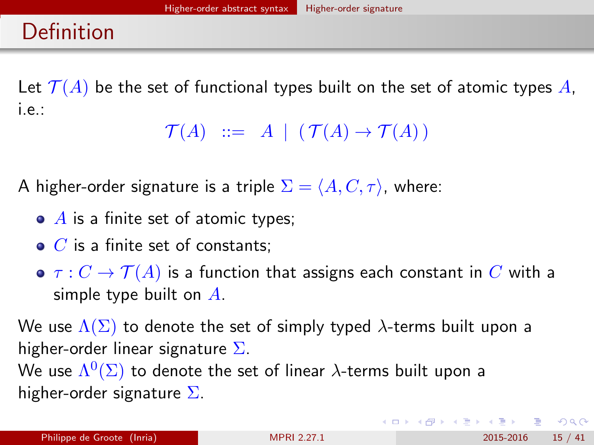## <span id="page-14-0"></span>Definition

Let  $\mathcal{T}(A)$  be the set of functional types built on the set of atomic types A, i.e.:

```
\mathcal{T}(A) ::= A | (\mathcal{T}(A) \rightarrow \mathcal{T}(A))
```
A higher-order signature is a triple  $\Sigma = \langle A, C, \tau \rangle$ , where:

- $\bullet$  A is a finite set of atomic types;
- $\bullet$  C is a finite set of constants;
- $\bullet \tau : C \to \mathcal{T}(A)$  is a function that assigns each constant in  $C$  with a simple type built on  $\vec{A}$ .

We use  $\Lambda(\Sigma)$  to denote the set of simply typed  $\lambda$ -terms built upon a higher-order linear signature  $\Sigma$ .

We use  $\Lambda^{0}(\Sigma)$  to denote the set of linear  $\lambda$ -terms built upon a higher-order signature  $\Sigma$ .

**KOD KARD KED KED B YOUR**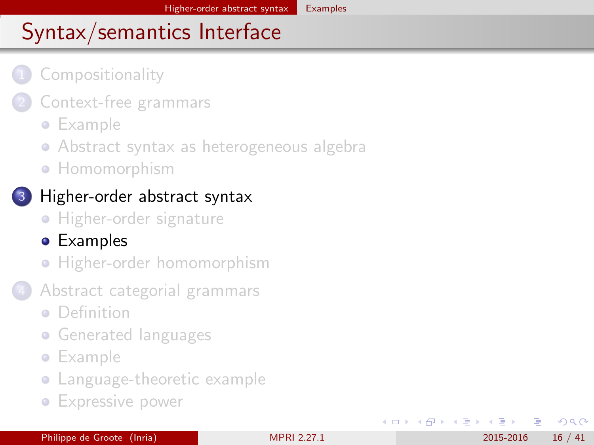### <span id="page-15-0"></span>**[Compositionality](#page-2-0)**

- [Context-free grammars](#page-5-0)
	- **•** [Example](#page-6-0)
	- [Abstract syntax as heterogeneous algebra](#page-8-0)
	- **[Homomorphism](#page-10-0)**

### 3 [Higher-order abstract syntax](#page-13-0)

- **[Higher-order signature](#page-14-0)**
- [Examples](#page-16-0)
- **•** [Higher-order homomorphism](#page-21-0)
- 4 [Abstract categorial grammars](#page-23-0)
	- [Definition](#page-24-0)
	- **[Generated languages](#page-27-0)**
	- **•** [Example](#page-29-0)
	- [Language-theoretic example](#page-33-0)
	- **[Expressive power](#page-37-0)**

 $\Omega$ 

化重氮 化重氮

4 0 8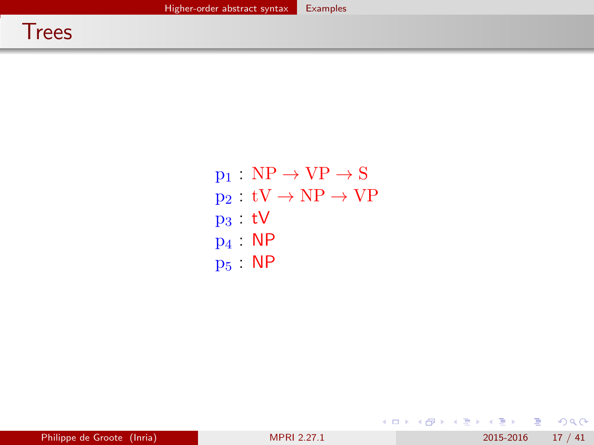<span id="page-16-0"></span> $p_1 : NP \rightarrow VP \rightarrow S$  $p_2 : tV \to NP \to VP$ p<sup>3</sup> : tV p<sup>4</sup> : NP p<sup>5</sup> : NP

K ロ ▶ K @ ▶ K 할 ▶ K 할 ▶ 이 할 → 9 Q @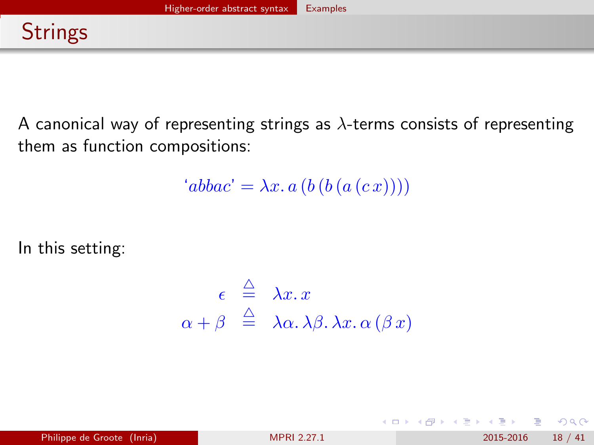<span id="page-17-0"></span>A canonical way of representing strings as  $\lambda$ -terms consists of representing them as function compositions:

 $'abbac' = \lambda x. a (b (b (a (c x))))$ 

In this setting:

$$
\epsilon \stackrel{\triangle}{=} \lambda x. x
$$
  

$$
\alpha + \beta \stackrel{\triangle}{=} \lambda \alpha. \lambda \beta. \lambda x. \alpha (\beta x)
$$

**← ロ ▶ → イ 同** 

 $QQ$ 

化重新润滑脂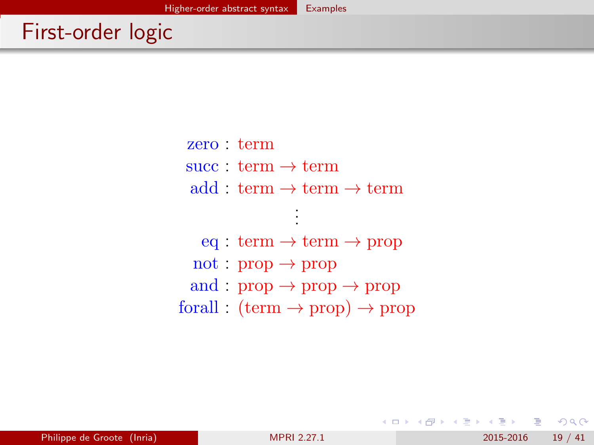## <span id="page-18-0"></span>First-order logic

zero : term succ  $:$  term  $\rightarrow$  term add : term  $\rightarrow$  term  $\rightarrow$  term

> . . .

eq : term  $\rightarrow$  term  $\rightarrow$  prop not :  $prop \rightarrow prop$ and :  $prop \rightarrow prop \rightarrow prop$ forall :  $(\text{term} \rightarrow \text{prop}) \rightarrow \text{prop}$ 

 $\Omega$ 

イロト イ押ト イヨト イヨト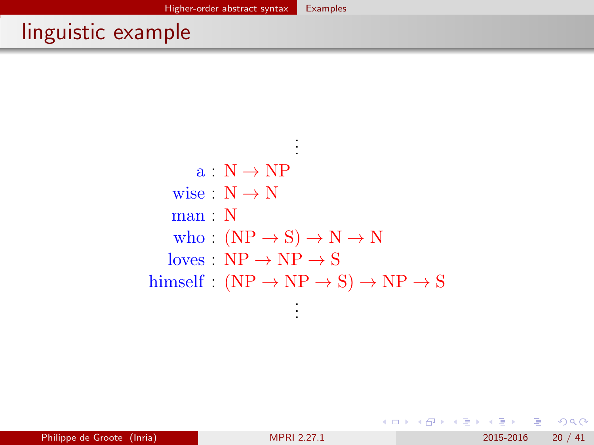## <span id="page-19-0"></span>linguistic example

.  $a : N \rightarrow NP$ wise :  $N \rightarrow N$ man : N who :  $(NP \rightarrow S) \rightarrow N \rightarrow N$  $loves \quad NP \rightarrow NP \rightarrow S$ himself :  $(NP \rightarrow NP \rightarrow S) \rightarrow NP \rightarrow S$ .

. .

. .

 $=$   $\Omega$ 

イロト イ押ト イヨト イヨト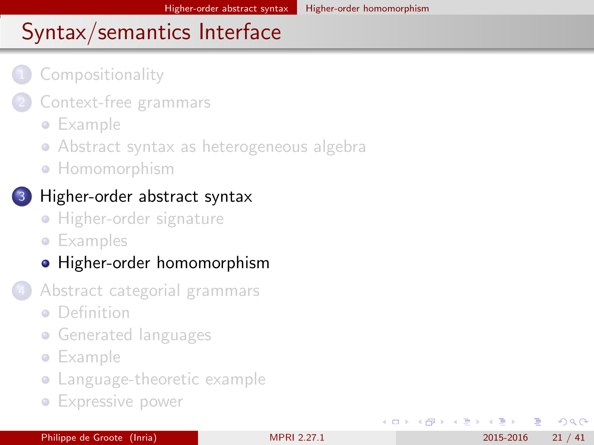### <span id="page-20-0"></span>**[Compositionality](#page-2-0)**

- [Context-free grammars](#page-5-0)
	- **•** [Example](#page-6-0)
	- [Abstract syntax as heterogeneous algebra](#page-8-0)
	- **[Homomorphism](#page-10-0)**

### [Higher-order abstract syntax](#page-13-0)

- **[Higher-order signature](#page-14-0)**
- **•** [Examples](#page-16-0)
- [Higher-order homomorphism](#page-21-0)
- 4 [Abstract categorial grammars](#page-23-0)
	- **•** [Definition](#page-24-0)
	- **[Generated languages](#page-27-0)**
	- **•** [Example](#page-29-0)
	- [Language-theoretic example](#page-33-0)
	- **[Expressive power](#page-37-0)**

 $\Omega$ 

イラメ イラメ

4 0 8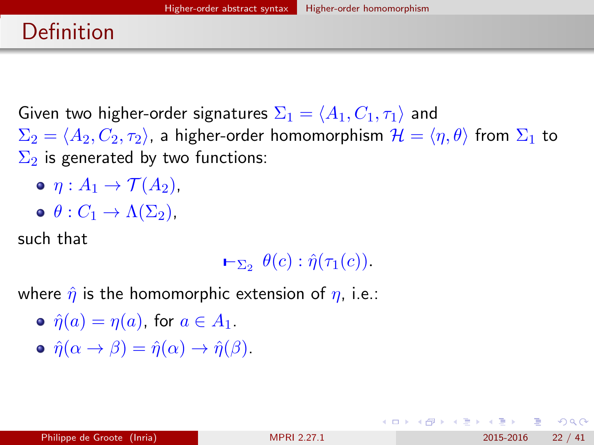## <span id="page-21-0"></span>Definition

Given two higher-order signatures  $\Sigma_1 = \langle A_1, C_1, \tau_1 \rangle$  and  $\Sigma_2 = \langle A_2, C_2, \tau_2 \rangle$ , a higher-order homomorphism  $\mathcal{H} = \langle \eta, \theta \rangle$  from  $\Sigma_1$  to  $\Sigma_2$  is generated by two functions:

- $\bullet$   $\eta: A_1 \rightarrow \mathcal{T}(A_2)$ ,
- $\phi: C_1 \to \Lambda(\Sigma_2)$ ,

such that

 $\vdash_{\Sigma_2} \theta(c): \hat{\eta}(\tau_1(c)).$ 

where  $\hat{\eta}$  is the homomorphic extension of  $\eta$ , i.e.:

- $\hat{\eta}(a) = \eta(a)$ , for  $a \in A_1$ .
- $\hat{\eta}(\alpha \to \beta) = \hat{\eta}(\alpha) \to \hat{\eta}(\beta).$

 $\Omega$ 

イロト イ何 トイヨト イヨト ニヨー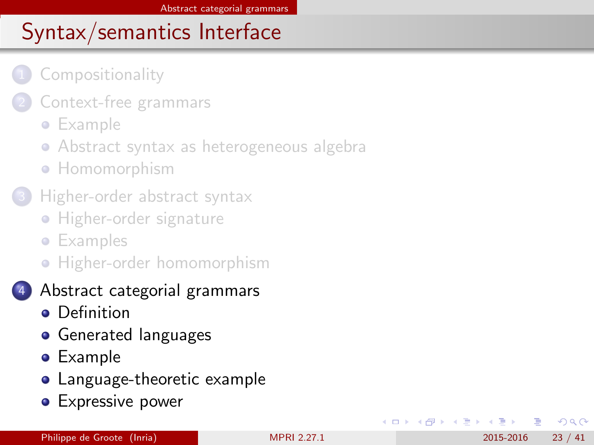### <span id="page-22-0"></span>**[Compositionality](#page-2-0)**

- [Context-free grammars](#page-5-0)
	- **•** [Example](#page-6-0)
	- [Abstract syntax as heterogeneous algebra](#page-8-0)
	- **[Homomorphism](#page-10-0)**
- [Higher-order abstract syntax](#page-13-0)
	- **[Higher-order signature](#page-14-0)**
	- **•** [Examples](#page-16-0)
	- **•** [Higher-order homomorphism](#page-21-0)
- 4 [Abstract categorial grammars](#page-23-0)
	- **•** [Definition](#page-24-0)
	- **•** [Generated languages](#page-27-0)
	- **•** [Example](#page-29-0)
	- [Language-theoretic example](#page-33-0)
	- **[Expressive power](#page-37-0)**

4 E K 4 E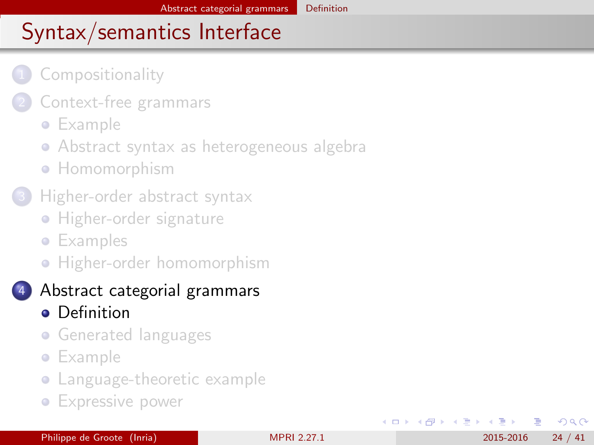### <span id="page-23-0"></span>**[Compositionality](#page-2-0)**

- [Context-free grammars](#page-5-0)
	- **•** [Example](#page-6-0)
	- [Abstract syntax as heterogeneous algebra](#page-8-0)
	- **[Homomorphism](#page-10-0)**
- [Higher-order abstract syntax](#page-13-0)
	- **[Higher-order signature](#page-14-0)**
	- **•** [Examples](#page-16-0)
	- **•** [Higher-order homomorphism](#page-21-0)

### 4 [Abstract categorial grammars](#page-23-0)

- **•** [Definition](#page-24-0)
- **[Generated languages](#page-27-0)**
- **•** [Example](#page-29-0)
- [Language-theoretic example](#page-33-0)
- **[Expressive power](#page-37-0)**

4 E K 4 E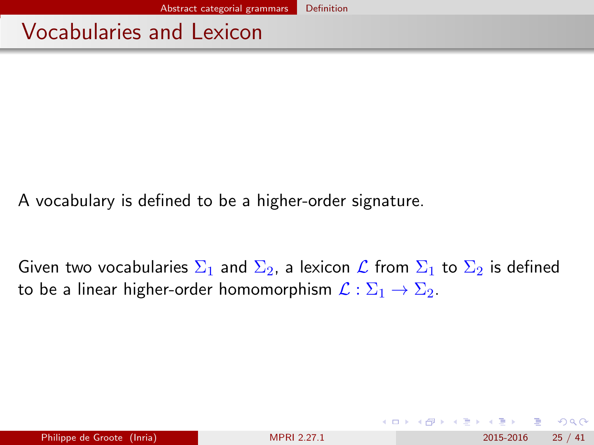### <span id="page-24-0"></span>Vocabularies and Lexicon

A vocabulary is defined to be a higher-order signature.

Given two vocabularies  $\Sigma_1$  and  $\Sigma_2$ , a lexicon  $\mathcal L$  from  $\Sigma_1$  to  $\Sigma_2$  is defined to be a linear higher-order homomorphism  $\mathcal{L} : \Sigma_1 \to \Sigma_2$ .

 $\Omega$ 

- 4 重 8 - 4 重 8

◂**◻▸ ◂<del>⁄</del>** ▸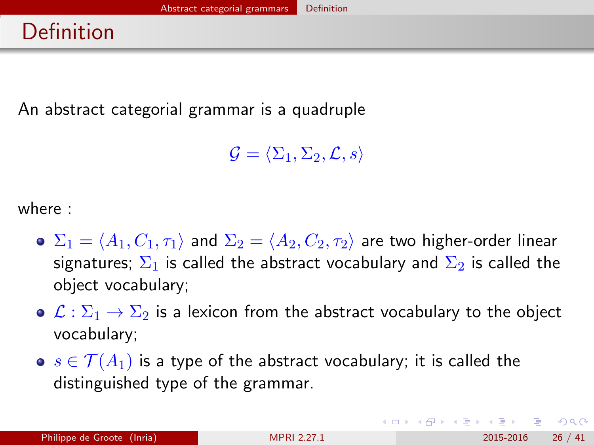## <span id="page-25-0"></span>Definition

An abstract categorial grammar is a quadruple

 $\mathcal{G} = \langle \Sigma_1, \Sigma_2, \mathcal{L}, s \rangle$ 

where :

- $\bullet \Sigma_1 = \langle A_1, C_1, \tau_1 \rangle$  and  $\Sigma_2 = \langle A_2, C_2, \tau_2 \rangle$  are two higher-order linear signatures;  $\Sigma_1$  is called the abstract vocabulary and  $\Sigma_2$  is called the object vocabulary;
- $\bullet \mathcal{L} : \Sigma_1 \to \Sigma_2$  is a lexicon from the abstract vocabulary to the object vocabulary;
- $s \in \mathcal{T}(A_1)$  is a type of the abstract vocabulary; it is called the distinguished type of the grammar.

 $\Omega$ 

KONKAPIK KENYEN E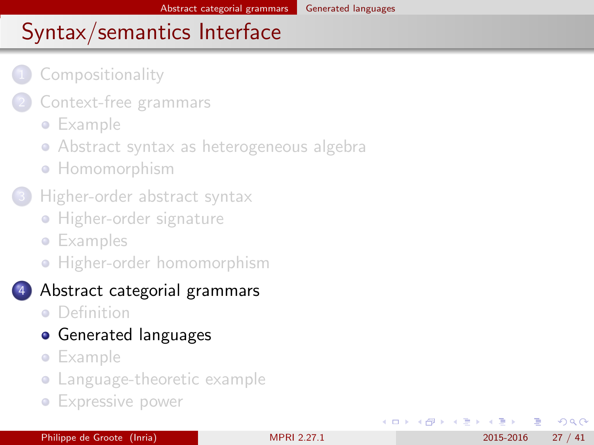### <span id="page-26-0"></span>**[Compositionality](#page-2-0)**

- [Context-free grammars](#page-5-0)
	- **•** [Example](#page-6-0)
	- [Abstract syntax as heterogeneous algebra](#page-8-0)
	- **[Homomorphism](#page-10-0)**
- [Higher-order abstract syntax](#page-13-0)
	- **[Higher-order signature](#page-14-0)**
	- **•** [Examples](#page-16-0)
	- **•** [Higher-order homomorphism](#page-21-0)

#### 4 [Abstract categorial grammars](#page-23-0)

- **•** [Definition](#page-24-0)
- **•** [Generated languages](#page-27-0)
- **•** [Example](#page-29-0)
- [Language-theoretic example](#page-33-0)
- **[Expressive power](#page-37-0)**

4 E K 4 E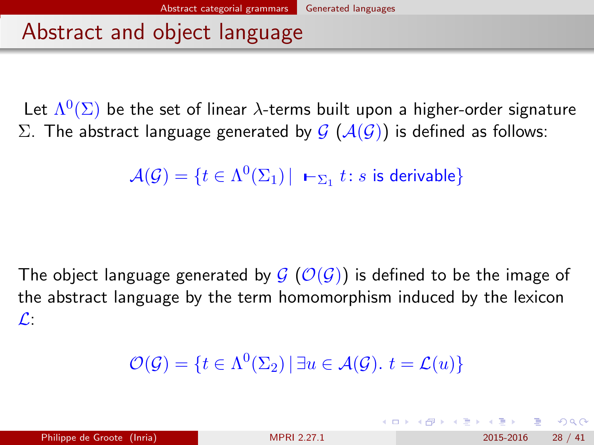### <span id="page-27-0"></span>Abstract and object language

Let  $\Lambda^0(\Sigma)$  be the set of linear  $\lambda$ -terms built upon a higher-order signature Σ. The abstract language generated by  $G(\mathcal{A}(\mathcal{G}))$  is defined as follows:

```
\mathcal{A}(\mathcal{G})=\{t\in\Lambda^{0}(\Sigma_{1})\,|\,\,\textbf{--}_{\Sigma_{1}}\,t\colon s\,\,\text{is derivable}\}
```
The object language generated by  $G(\mathcal{O}(G))$  is defined to be the image of the abstract language by the term homomorphism induced by the lexicon  $\mathcal{L}$ :

$$
\mathcal{O}(\mathcal{G}) = \{ t \in \Lambda^0(\Sigma_2) \, | \, \exists u \in \mathcal{A}(\mathcal{G}), \, t = \mathcal{L}(u) \}
$$

 $\Omega$ 

イロト イ押ト イヨト イヨト ニヨ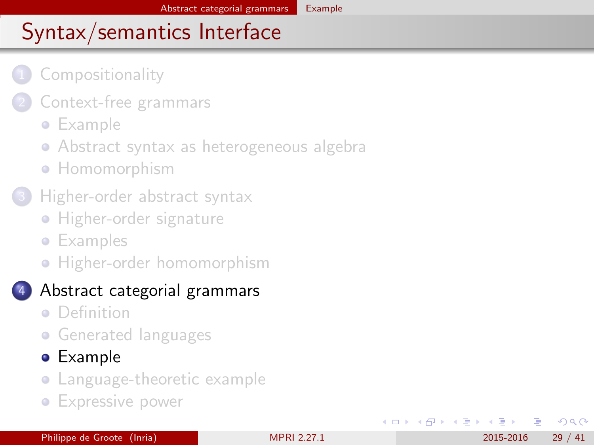### <span id="page-28-0"></span>**[Compositionality](#page-2-0)**

- [Context-free grammars](#page-5-0)
	- **•** [Example](#page-6-0)
	- [Abstract syntax as heterogeneous algebra](#page-8-0)
	- **[Homomorphism](#page-10-0)**
- [Higher-order abstract syntax](#page-13-0)
	- **[Higher-order signature](#page-14-0)**
	- **•** [Examples](#page-16-0)
	- **•** [Higher-order homomorphism](#page-21-0)

### 4 [Abstract categorial grammars](#page-23-0)

- **•** [Definition](#page-24-0)
- **[Generated languages](#page-27-0)**

### **•** [Example](#page-29-0)

- [Language-theoretic example](#page-33-0)
- **[Expressive power](#page-37-0)**

Philippe de Groote (Inria) [MPRI 2.27.1](#page-0-0) 2015-2016 29 / 41

4 E K 4 E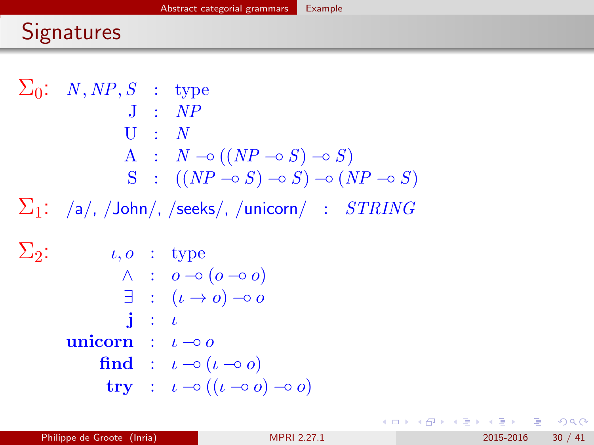## <span id="page-29-0"></span>**Signatures**

 $\Sigma_0: N, NP, S$  : type  $J : NP$  $U : N$ A :  $N \to ((NP \to S) \to S)$  $S : ((NP \neg \circ S) \neg \circ S) \neg \circ (NP \neg \circ S)$  $\Sigma_1$ : /a/, /John/, /seeks/, /unicorn/ :  $STRING$  $\Sigma_2$ :  $\iota, o$  : type  $\wedge$  :  $o$   $\multimap$   $(o \multimap o)$  $\exists$  :  $(\iota \to o) \multimap o$  $\mathbf{i}$  :  $\iota$ unicorn :  $\iota \neg \circ o$ find :  $\iota \neg o(\iota \neg o o)$ try :  $\iota \neg o ((\iota \neg o \circ o) \neg o \circ o)$ 

KED KARD KED KED E VOOR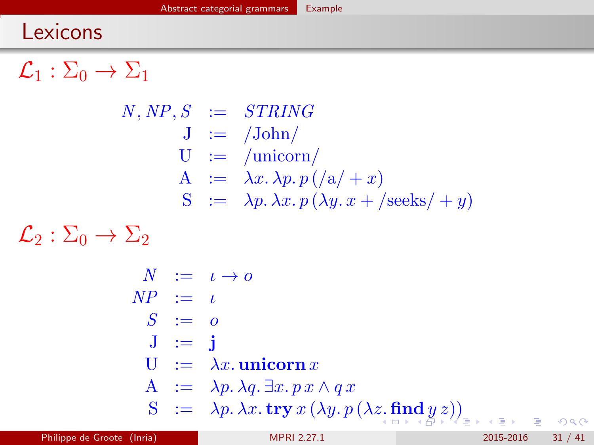## <span id="page-30-0"></span>Lexicons

 $\mathcal{L}_1 : \Sigma_0 \to \Sigma_1$ 

$$
N, NP, S := STRING
$$
  
\n
$$
J := /John/
$$
  
\n
$$
U := /union/
$$
  
\n
$$
A := \lambda x. \lambda p. p / (a/ + x)
$$
  
\n
$$
S := \lambda p. \lambda x. p (\lambda y. x + /seeks/ + y)
$$

 $\mathcal{L}_2 : \Sigma_0 \to \Sigma_2$ 

$$
N := \iota \to o
$$
  
\n
$$
NP := \iota
$$
  
\n
$$
S := o
$$
  
\n
$$
J := \mathbf{j}
$$
  
\n
$$
U := \lambda x. \text{uniform } x
$$
  
\n
$$
A := \lambda p. \lambda q. \exists x. px \wedge qx
$$
  
\n
$$
S := \lambda p. \lambda x. \text{try } x (\lambda y. p (\lambda z. \text{find } y z))
$$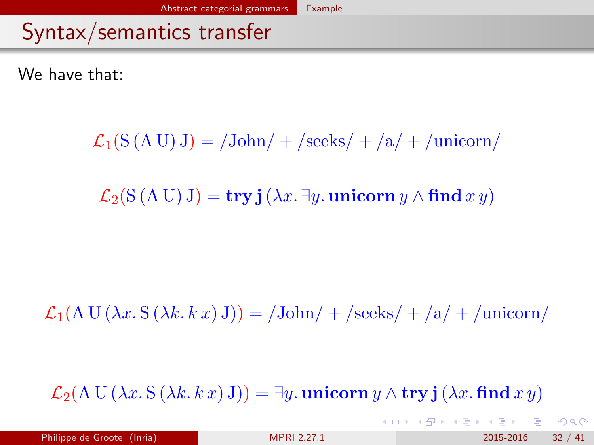## <span id="page-31-0"></span>Syntax/semantics transfer

We have that:

 $\mathcal{L}_1(S(A U) J) = / \text{John}/+ \text{/seeks}/+ \text{/a}/+ \text{/uniform/}$ 

 $\mathcal{L}_2(S(A U) J) = \mathbf{try} \mathbf{i} (\lambda x. \exists y. \text{unicorn } y \wedge \mathbf{find } x y)$ 

 $\mathcal{L}_1(A \cup (\lambda x. S(\lambda k. k x) J)) = \langle John/ + \langle seeks/ + \langle a + \langle union \rangle \rangle \rangle$ 

 $\mathcal{L}_2(A \cup (\lambda x. S(\lambda k. k x) J)) = \exists y.$  unicorn  $y \wedge \text{try } j(\lambda x. \text{ find } x y)$ 

 $QQ$ 

 $\mathbf{A} \equiv \mathbf{A} + \mathbf{A} \mathbf{B} + \mathbf{A} \mathbf{B} + \mathbf{A} \mathbf{B} + \mathbf{B} \mathbf{B}$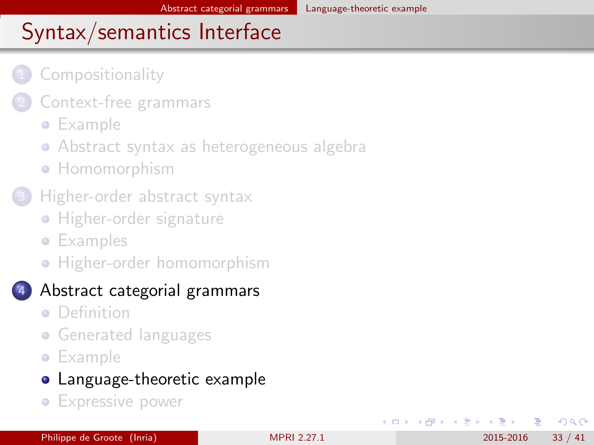### <span id="page-32-0"></span>**[Compositionality](#page-2-0)**

- [Context-free grammars](#page-5-0)
	- **•** [Example](#page-6-0)
	- [Abstract syntax as heterogeneous algebra](#page-8-0)
	- **[Homomorphism](#page-10-0)**
- [Higher-order abstract syntax](#page-13-0)
	- **[Higher-order signature](#page-14-0)**
	- **•** [Examples](#page-16-0)
	- **•** [Higher-order homomorphism](#page-21-0)

### 4 [Abstract categorial grammars](#page-23-0)

- **•** [Definition](#page-24-0)
- **[Generated languages](#page-27-0)**
- **•** [Example](#page-29-0)

### [Language-theoretic example](#page-33-0)

**[Expressive power](#page-37-0)** 

Philippe de Groote (Inria) [MPRI 2.27.1](#page-0-0) 2015-2016 33 / 41

4 E K 4 E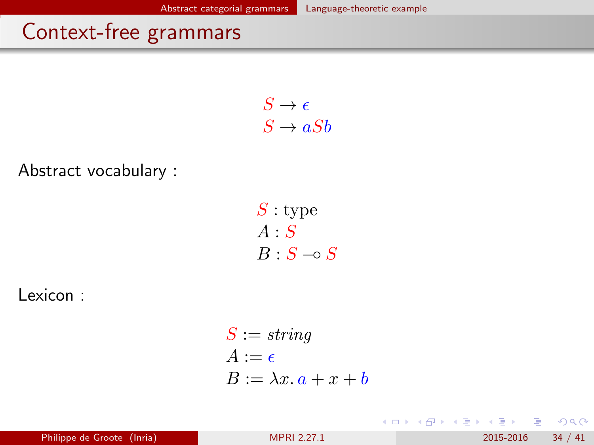## <span id="page-33-0"></span>Context-free grammars

 $S \to \epsilon$  $S \rightarrow aSb$ 

Abstract vocabulary :

 $S:$  type  $A \cdot S$  $B : S \multimap S$ 

Lexicon :

$$
S := string
$$
  
\n
$$
A := \epsilon
$$
  
\n
$$
B := \lambda x. a + x + b
$$

Philippe de Groote (Inria) [MPRI 2.27.1](#page-0-0) 2015-2016 34 / 41

画

化重新润滑脂

**← ロ ▶ → イ 同** 

 $QQ$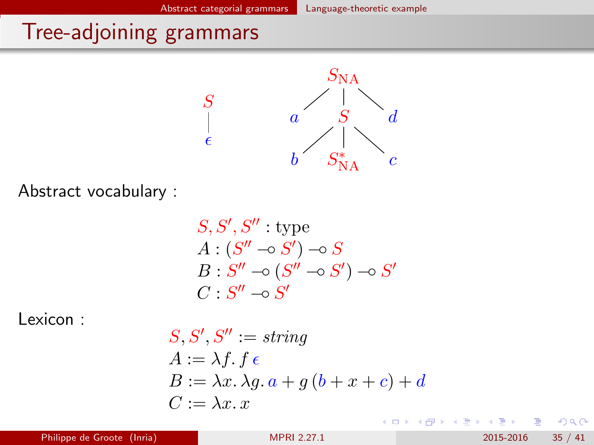## <span id="page-34-0"></span>Tree-adjoining grammars



Abstract vocabulary :

$$
S, S', S'' : \text{type}
$$
  

$$
A : (S'' \neg S') \neg S
$$
  

$$
B : S'' \neg S (S'' \neg S') \neg S'
$$
  

$$
C : S'' \neg S'
$$

Lexicon :

$$
S, S', S'':= string
$$
  
\n
$$
A := \lambda f. f \epsilon
$$
  
\n
$$
B := \lambda x. \lambda g. a + g (b + x + c) + d
$$
  
\n
$$
C := \lambda x. x
$$

**← ロ ▶ → イ 同** 

不是 医牙 重  $299$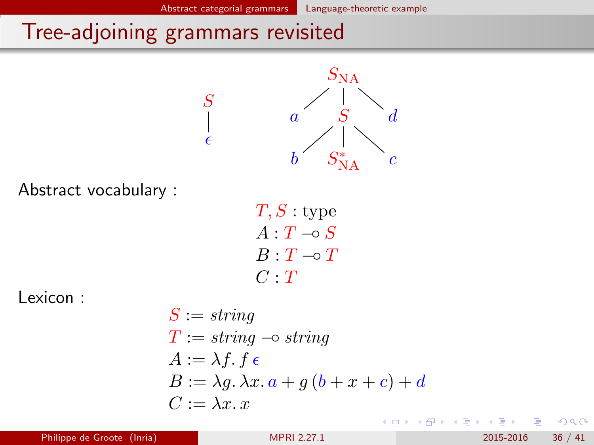## <span id="page-35-0"></span>Tree-adjoining grammars revisited

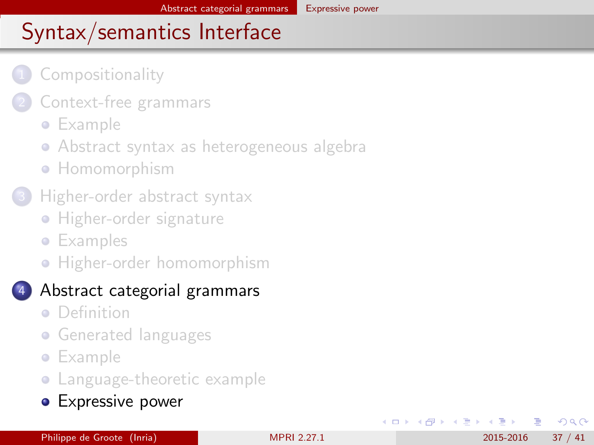### <span id="page-36-0"></span>**[Compositionality](#page-2-0)**

- [Context-free grammars](#page-5-0)
	- **•** [Example](#page-6-0)
	- [Abstract syntax as heterogeneous algebra](#page-8-0)
	- **[Homomorphism](#page-10-0)**
- [Higher-order abstract syntax](#page-13-0)
	- **[Higher-order signature](#page-14-0)**
	- **•** [Examples](#page-16-0)
	- **•** [Higher-order homomorphism](#page-21-0)

### 4 [Abstract categorial grammars](#page-23-0)

- **•** [Definition](#page-24-0)
- **[Generated languages](#page-27-0)**
- **•** [Example](#page-29-0)
- [Language-theoretic example](#page-33-0)
- **•** [Expressive power](#page-37-0)

Philippe de Groote (Inria) [MPRI 2.27.1](#page-0-0) 2015-2016 37 / 41

4 E K 4 E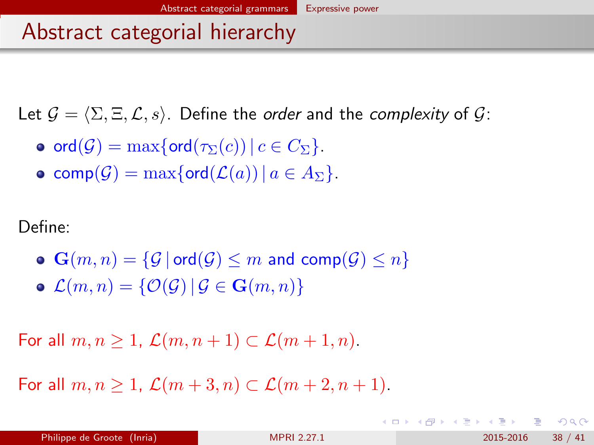### <span id="page-37-0"></span>Abstract categorial hierarchy

Let  $\mathcal{G} = \langle \Sigma, \Xi, \mathcal{L}, s \rangle$ . Define the *order* and the *complexity* of  $\mathcal{G}$ :

- o ord $(\mathcal{G}) = \max\{\text{ord}(\tau_{\Sigma}(c)) \mid c \in C_{\Sigma}\}.$
- comp $(\mathcal{G}) = \max\{\text{ord}(\mathcal{L}(a)) \mid a \in A_{\Sigma}\}.$

Define:

 $\bullet$   $\mathbf{G}(m, n) = \{ \mathcal{G} \mid \mathsf{ord}(\mathcal{G}) \leq m \text{ and } \mathsf{comp}(\mathcal{G}) \leq n \}$  $\mathcal{L}(m, n) = \{ \mathcal{O}(\mathcal{G}) \, | \, \mathcal{G} \in \mathbf{G}(m, n) \}$ 

For all  $m, n \geq 1$ ,  $\mathcal{L}(m, n+1) \subset \mathcal{L}(m+1, n)$ .

For all  $m, n \geq 1$ ,  $\mathcal{L}(m+3, n) \subset \mathcal{L}(m+2, n+1)$ .

 $\Omega$ 

イロト 不優 ト 不差 ト 不差 トー 差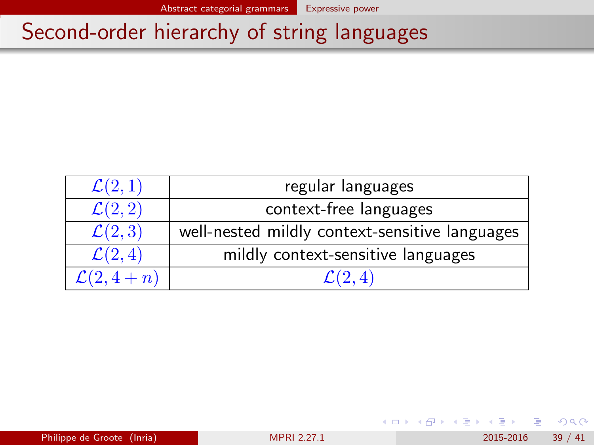### <span id="page-38-0"></span>Second-order hierarchy of string languages

| $\mathcal{L}(2,1)$            | regular languages                              |  |
|-------------------------------|------------------------------------------------|--|
| $\overline{\mathcal{L}(2,2)}$ | context-free languages                         |  |
| $\mathcal{L}(2,3)$            | well-nested mildly context-sensitive languages |  |
| $\mathcal{L}(2,4)$            | mildly context-sensitive languages             |  |
| $\mathcal{L}(2, 4+n)$         | (2, 4)                                         |  |

**← ロ ▶ → イ 同** 

 $298$ 

化重 网络重